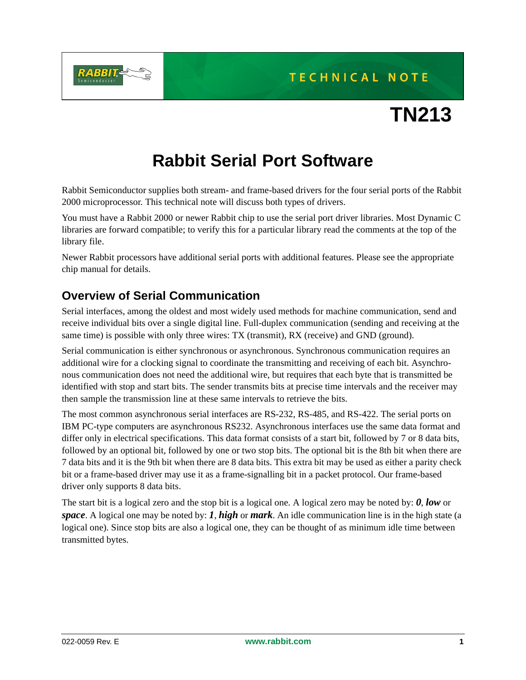

## TECHNICAL NOTE

# **TN213**

## **Rabbit Serial Port Software**

Rabbit Semiconductor supplies both stream- and frame-based drivers for the four serial ports of the Rabbit 2000 microprocessor. This technical note will discuss both types of drivers.

You must have a Rabbit 2000 or newer Rabbit chip to use the serial port driver libraries. Most Dynamic C libraries are forward compatible; to verify this for a particular library read the comments at the top of the library file.

Newer Rabbit processors have additional serial ports with additional features. Please see the appropriate chip manual for details.

## **Overview of Serial Communication**

Serial interfaces, among the oldest and most widely used methods for machine communication, send and receive individual bits over a single digital line. Full-duplex communication (sending and receiving at the same time) is possible with only three wires: TX (transmit), RX (receive) and GND (ground).

Serial communication is either synchronous or asynchronous. Synchronous communication requires an additional wire for a clocking signal to coordinate the transmitting and receiving of each bit. Asynchronous communication does not need the additional wire, but requires that each byte that is transmitted be identified with stop and start bits. The sender transmits bits at precise time intervals and the receiver may then sample the transmission line at these same intervals to retrieve the bits.

The most common asynchronous serial interfaces are RS-232, RS-485, and RS-422. The serial ports on IBM PC-type computers are asynchronous RS232. Asynchronous interfaces use the same data format and differ only in electrical specifications. This data format consists of a start bit, followed by 7 or 8 data bits, followed by an optional bit, followed by one or two stop bits. The optional bit is the 8th bit when there are 7 data bits and it is the 9th bit when there are 8 data bits. This extra bit may be used as either a parity check bit or a frame-based driver may use it as a frame-signalling bit in a packet protocol. Our frame-based driver only supports 8 data bits.

The start bit is a logical zero and the stop bit is a logical one. A logical zero may be noted by: *0*, *low* or *space*. A logical one may be noted by: *1*, *high* or *mark*. An idle communication line is in the high state (a logical one). Since stop bits are also a logical one, they can be thought of as minimum idle time between transmitted bytes.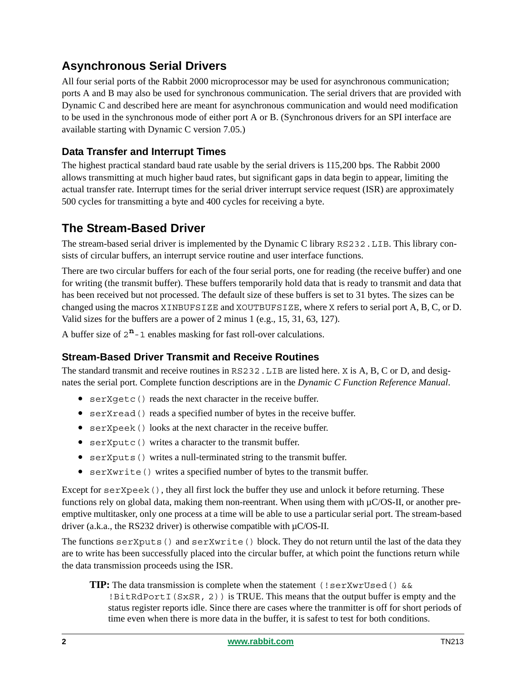## **Asynchronous Serial Drivers**

All four serial ports of the Rabbit 2000 microprocessor may be used for asynchronous communication; ports A and B may also be used for synchronous communication. The serial drivers that are provided with Dynamic C and described here are meant for asynchronous communication and would need modification to be used in the synchronous mode of either port A or B. (Synchronous drivers for an SPI interface are available starting with Dynamic C version 7.05.)

#### **Data Transfer and Interrupt Times**

The highest practical standard baud rate usable by the serial drivers is 115,200 bps. The Rabbit 2000 allows transmitting at much higher baud rates, but significant gaps in data begin to appear, limiting the actual transfer rate. Interrupt times for the serial driver interrupt service request (ISR) are approximately 500 cycles for transmitting a byte and 400 cycles for receiving a byte.

## **The Stream-Based Driver**

The stream-based serial driver is implemented by the Dynamic C library RS232.LIB. This library consists of circular buffers, an interrupt service routine and user interface functions.

There are two circular buffers for each of the four serial ports, one for reading (the receive buffer) and one for writing (the transmit buffer). These buffers temporarily hold data that is ready to transmit and data that has been received but not processed. The default size of these buffers is set to 31 bytes. The sizes can be changed using the macros XINBUFSIZE and XOUTBUFSIZE, where X refers to serial port A, B, C, or D. Valid sizes for the buffers are a power of 2 minus 1 (e.g., 15, 31, 63, 127).

A buffer size of  $2^n - 1$  enables masking for fast roll-over calculations.

#### **Stream-Based Driver Transmit and Receive Routines**

The standard transmit and receive routines in RS232. LIB are listed here. X is A, B, C or D, and designates the serial port. Complete function descriptions are in the *Dynamic C Function Reference Manual*.

- serXgetc() reads the next character in the receive buffer.
- serXread() reads a specified number of bytes in the receive buffer.
- serXpeek() looks at the next character in the receive buffer.
- serXputc() writes a character to the transmit buffer.
- serXputs() writes a null-terminated string to the transmit buffer.
- serXwrite() writes a specified number of bytes to the transmit buffer.

Except for serXpeek(), they all first lock the buffer they use and unlock it before returning. These functions rely on global data, making them non-reentrant. When using them with  $\mu$ C/OS-II, or another preemptive multitasker, only one process at a time will be able to use a particular serial port. The stream-based driver (a.k.a., the RS232 driver) is otherwise compatible with  $\mu$ C/OS-II.

The functions serXputs() and serXwrite() block. They do not return until the last of the data they are to write has been successfully placed into the circular buffer, at which point the functions return while the data transmission proceeds using the ISR.

**TIP:** The data transmission is complete when the statement (!serXwrUsed() &&  $BitRdPortI(SxSR, 2)$  is TRUE. This means that the output buffer is empty and the status register reports idle. Since there are cases where the tranmitter is off for short periods of time even when there is more data in the buffer, it is safest to test for both conditions.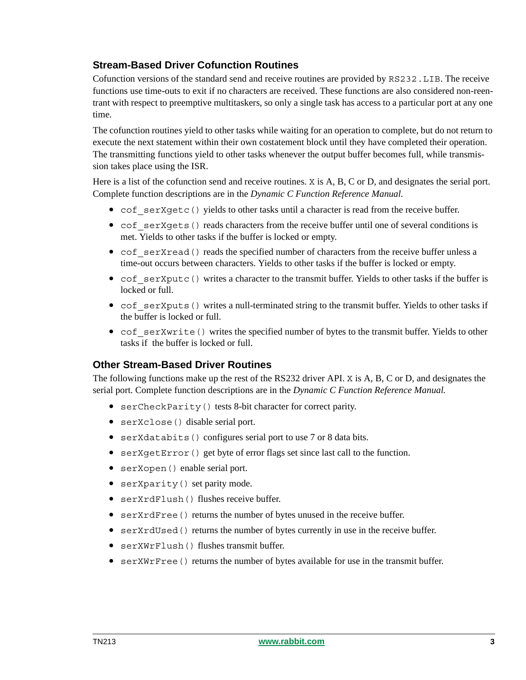#### **Stream-Based Driver Cofunction Routines**

Cofunction versions of the standard send and receive routines are provided by RS232.LIB. The receive functions use time-outs to exit if no characters are received. These functions are also considered non-reentrant with respect to preemptive multitaskers, so only a single task has access to a particular port at any one time.

The cofunction routines yield to other tasks while waiting for an operation to complete, but do not return to execute the next statement within their own costatement block until they have completed their operation. The transmitting functions yield to other tasks whenever the output buffer becomes full, while transmission takes place using the ISR.

Here is a list of the cofunction send and receive routines. X is A, B, C or D, and designates the serial port. Complete function descriptions are in the *Dynamic C Function Reference Manual.*

- cof serXgetc() yields to other tasks until a character is read from the receive buffer.
- cof serXgets() reads characters from the receive buffer until one of several conditions is met. Yields to other tasks if the buffer is locked or empty.
- cof serXread() reads the specified number of characters from the receive buffer unless a time-out occurs between characters. Yields to other tasks if the buffer is locked or empty.
- cof serXputc() writes a character to the transmit buffer. Yields to other tasks if the buffer is locked or full.
- cof serXputs() writes a null-terminated string to the transmit buffer. Yields to other tasks if the buffer is locked or full.
- cof serXwrite() writes the specified number of bytes to the transmit buffer. Yields to other tasks if the buffer is locked or full.

#### **Other Stream-Based Driver Routines**

The following functions make up the rest of the RS232 driver API. X is A, B, C or D, and designates the serial port. Complete function descriptions are in the *Dynamic C Function Reference Manual.*

- serCheckParity() tests 8-bit character for correct parity.
- serXclose() disable serial port.
- serXdatabits() configures serial port to use 7 or 8 data bits.
- serXgetError() get byte of error flags set since last call to the function.
- serXopen() enable serial port.
- serXparity() set parity mode.
- serXrdFlush() flushes receive buffer.
- serXrdFree() returns the number of bytes unused in the receive buffer.
- serXrdUsed() returns the number of bytes currently in use in the receive buffer.
- serXWrFlush() flushes transmit buffer.
- serXWrFree() returns the number of bytes available for use in the transmit buffer.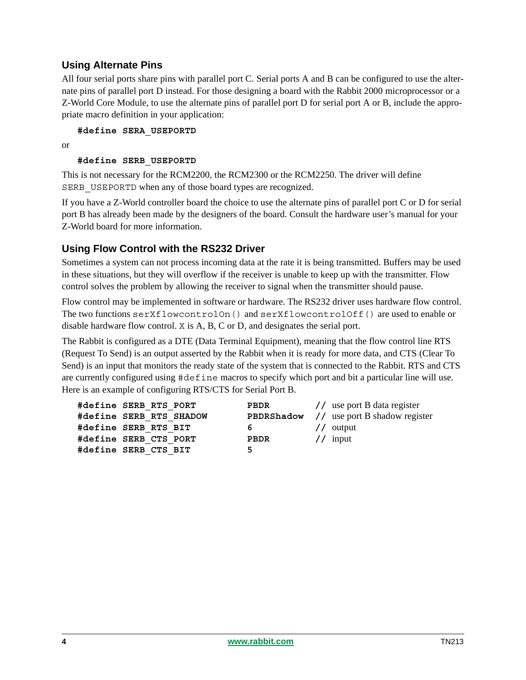#### **Using Alternate Pins**

All four serial ports share pins with parallel port C. Serial ports A and B can be configured to use the alternate pins of parallel port D instead. For those designing a board with the Rabbit 2000 microprocessor or a Z-World Core Module, to use the alternate pins of parallel port D for serial port A or B, include the appropriate macro definition in your application:

**#define SERA\_USEPORTD**

or

#### **#define SERB\_USEPORTD**

This is not necessary for the RCM2200, the RCM2300 or the RCM2250. The driver will define SERB USEPORTD when any of those board types are recognized.

If you have a Z-World controller board the choice to use the alternate pins of parallel port C or D for serial port B has already been made by the designers of the board. Consult the hardware user's manual for your Z-World board for more information.

#### **Using Flow Control with the RS232 Driver**

Sometimes a system can not process incoming data at the rate it is being transmitted. Buffers may be used in these situations, but they will overflow if the receiver is unable to keep up with the transmitter. Flow control solves the problem by allowing the receiver to signal when the transmitter should pause.

Flow control may be implemented in software or hardware. The RS232 driver uses hardware flow control. The two functions serXflowcontrolOn() and serXflowcontrolOff() are used to enable or disable hardware flow control. X is A, B, C or D, and designates the serial port.

The Rabbit is configured as a DTE (Data Terminal Equipment), meaning that the flow control line RTS (Request To Send) is an output asserted by the Rabbit when it is ready for more data, and CTS (Clear To Send) is an input that monitors the ready state of the system that is connected to the Rabbit. RTS and CTS are currently configured using #define macros to specify which port and bit a particular line will use. Here is an example of configuring RTS/CTS for Serial Port B.

| #define SERB RTS PORT   | PBDR | // use port B data register                     |
|-------------------------|------|-------------------------------------------------|
| #define SERB RTS SHADOW |      | <b>PBDRShadow</b> // use port B shadow register |
| #define SERB RTS BIT    | 6 —  | $\frac{1}{2}$ output                            |
| #define SERB CTS PORT   | PBDR | // input                                        |
| #define SERB CTS BIT    | 5    |                                                 |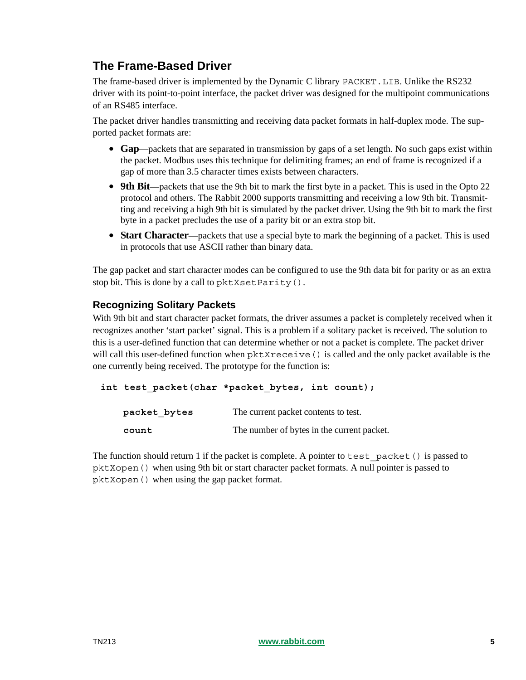## **The Frame-Based Driver**

The frame-based driver is implemented by the Dynamic C library PACKET.LIB. Unlike the RS232 driver with its point-to-point interface, the packet driver was designed for the multipoint communications of an RS485 interface.

The packet driver handles transmitting and receiving data packet formats in half-duplex mode. The supported packet formats are:

- **Gap**—packets that are separated in transmission by gaps of a set length. No such gaps exist within the packet. Modbus uses this technique for delimiting frames; an end of frame is recognized if a gap of more than 3.5 character times exists between characters.
- **9th Bit**—packets that use the 9th bit to mark the first byte in a packet. This is used in the Opto 22 protocol and others. The Rabbit 2000 supports transmitting and receiving a low 9th bit. Transmitting and receiving a high 9th bit is simulated by the packet driver. Using the 9th bit to mark the first byte in a packet precludes the use of a parity bit or an extra stop bit.
- **Start Character**—packets that use a special byte to mark the beginning of a packet. This is used in protocols that use ASCII rather than binary data.

The gap packet and start character modes can be configured to use the 9th data bit for parity or as an extra stop bit. This is done by a call to pktXsetParity().

#### **Recognizing Solitary Packets**

With 9th bit and start character packet formats, the driver assumes a packet is completely received when it recognizes another 'start packet' signal. This is a problem if a solitary packet is received. The solution to this is a user-defined function that can determine whether or not a packet is complete. The packet driver will call this user-defined function when pktXreceive() is called and the only packet available is the one currently being received. The prototype for the function is:

```
int test_packet(char *packet_bytes, int count);
```

| packet bytes | The current packet contents to test.       |
|--------------|--------------------------------------------|
| count        | The number of bytes in the current packet. |

The function should return 1 if the packet is complete. A pointer to test packet () is passed to pktXopen() when using 9th bit or start character packet formats. A null pointer is passed to pktXopen() when using the gap packet format.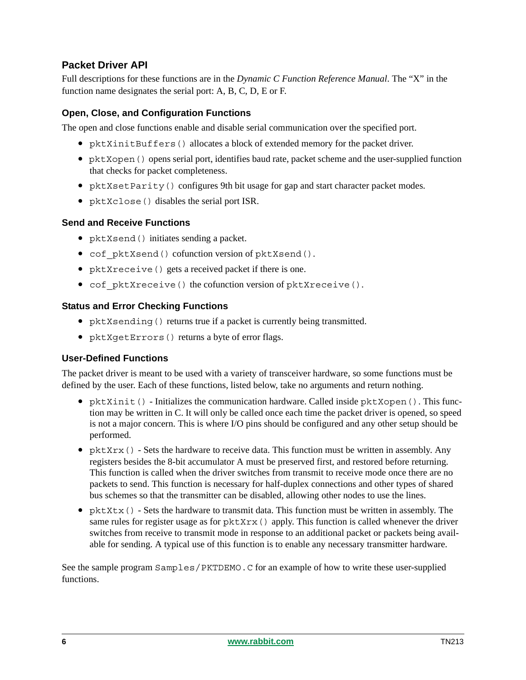#### **Packet Driver API**

Full descriptions for these functions are in the *Dynamic C Function Reference Manual*. The "X" in the function name designates the serial port: A, B, C, D, E or F.

#### **Open, Close, and Configuration Functions**

The open and close functions enable and disable serial communication over the specified port.

- pktXinitBuffers() allocates a block of extended memory for the packet driver.
- pktXopen() opens serial port, identifies baud rate, packet scheme and the user-supplied function that checks for packet completeness.
- pktXsetParity() configures 9th bit usage for gap and start character packet modes.
- pktXclose() disables the serial port ISR.

#### **Send and Receive Functions**

- pktXsend() initiates sending a packet.
- cof\_pktXsend() cofunction version of pktXsend().
- pktXreceive() gets a received packet if there is one.
- cof pktXreceive() the cofunction version of pktXreceive().

#### **Status and Error Checking Functions**

- pktXsending() returns true if a packet is currently being transmitted.
- pktXgetErrors() returns a byte of error flags.

#### **User-Defined Functions**

The packet driver is meant to be used with a variety of transceiver hardware, so some functions must be defined by the user. Each of these functions, listed below, take no arguments and return nothing.

- pktXinit() Initializes the communication hardware. Called inside pktXopen(). This function may be written in C. It will only be called once each time the packet driver is opened, so speed is not a major concern. This is where I/O pins should be configured and any other setup should be performed.
- pktXrx() Sets the hardware to receive data. This function must be written in assembly. Any registers besides the 8-bit accumulator A must be preserved first, and restored before returning. This function is called when the driver switches from transmit to receive mode once there are no packets to send. This function is necessary for half-duplex connections and other types of shared bus schemes so that the transmitter can be disabled, allowing other nodes to use the lines.
- pktXtx() Sets the hardware to transmit data. This function must be written in assembly. The same rules for register usage as for  $pktxrx$  () apply. This function is called whenever the driver switches from receive to transmit mode in response to an additional packet or packets being available for sending. A typical use of this function is to enable any necessary transmitter hardware.

See the sample program Samples/PKTDEMO.C for an example of how to write these user-supplied functions.